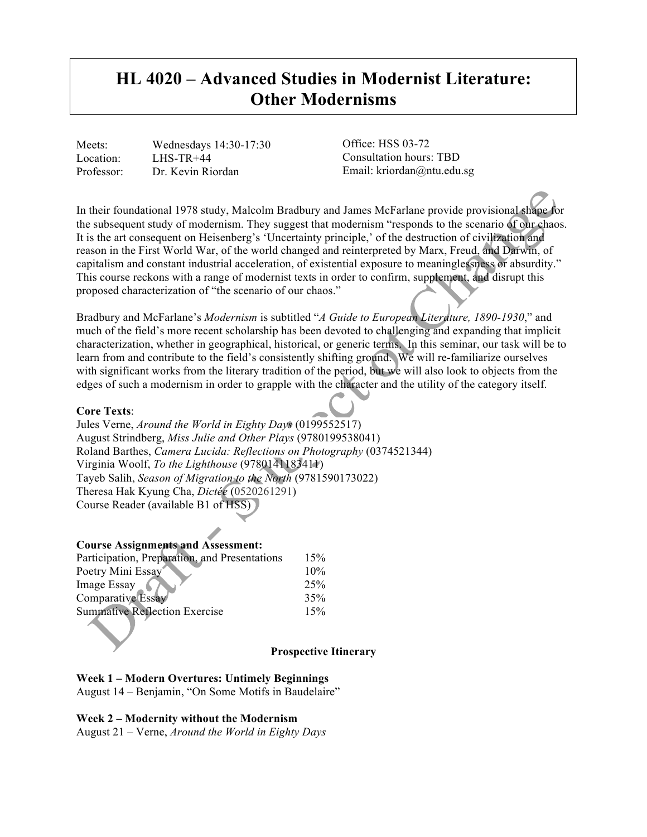# **HL 4020 – Advanced Studies in Modernist Literature: Other Modernisms**

Meets: Wednesdays 14:30-17:30 Location: LHS-TR+44 Professor: Dr. Kevin Riordan

Office: HSS 03-72 Consultation hours: TBD Email: kriordan@ntu.edu.sg

In their foundational 1978 study, Malcolm Bradbury and James McFarlane provide provisional shape for the subsequent study of modernism. They suggest that modernism "responds to the scenario of our chaos. It is the art consequent on Heisenberg's 'Uncertainty principle,' of the destruction of civilization and reason in the First World War, of the world changed and reinterpreted by Marx, Freud, and Darwin, of capitalism and constant industrial acceleration, of existential exposure to meaninglessness or absurdity." This course reckons with a range of modernist texts in order to confirm, supplement, and disrupt this proposed characterization of "the scenario of our chaos."

Bradbury and McFarlane's *Modernism* is subtitled "*A Guide to European Literature, 1890-1930*," and much of the field's more recent scholarship has been devoted to challenging and expanding that implicit characterization, whether in geographical, historical, or generic terms. In this seminar, our task will be to learn from and contribute to the field's consistently shifting ground. We will re-familiarize ourselves with significant works from the literary tradition of the period, but we will also look to objects from the edges of such a modernism in order to grapple with the character and the utility of the category itself.

#### **Core Texts**:

Jules Verne, *Around the World in Eighty Days* (0199552517) August Strindberg, *Miss Julie and Other Plays* (9780199538041) Roland Barthes, *Camera Lucida: Reflections on Photography* (0374521344) Virginia Woolf, *To the Lighthouse* (9780141183411) Tayeb Salih, *Season of Migration to the North* (9781590173022) Theresa Hak Kyung Cha, *Dictée* (0520261291) Course Reader (available B1 of HSS)

#### **Course Assignments and Assessment:**

| Participation, Preparation, and Presentations | 15% |
|-----------------------------------------------|-----|
| Poetry Mini Essay                             | 10% |
| Image Essay                                   | 25% |
| Comparative Essay                             | 35% |
| <b>Summative Reflection Exercise</b>          | 15% |
|                                               |     |

#### **Prospective Itinerary**

## **Week 1 – Modern Overtures: Untimely Beginnings**

August 14 – Benjamin, "On Some Motifs in Baudelaire"

## **Week 2 – Modernity without the Modernism**

August 21 – Verne, *Around the World in Eighty Days*